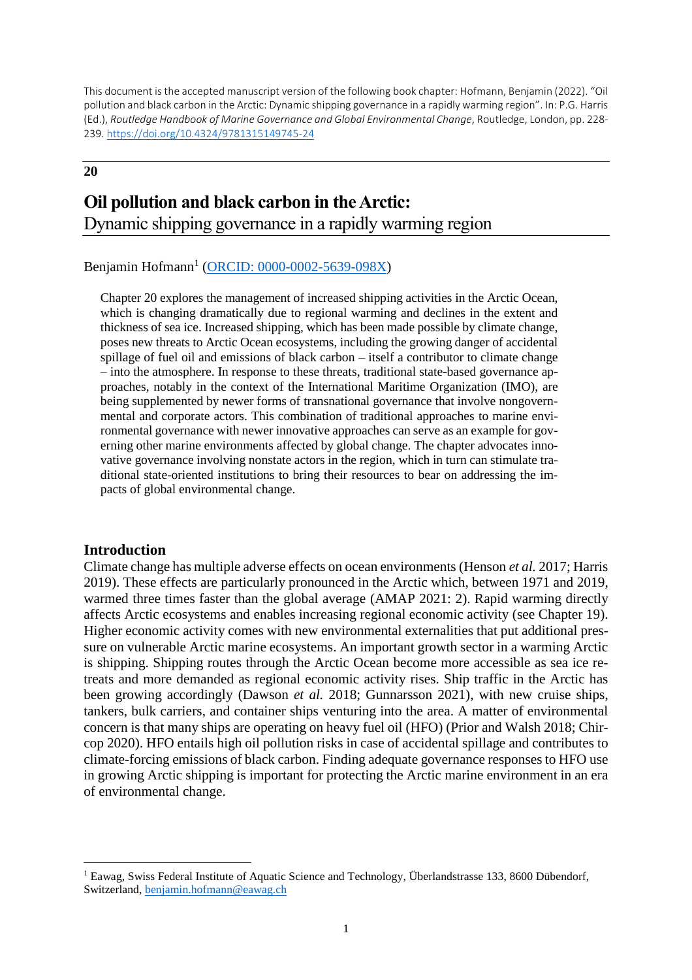This document is the accepted manuscript version of the following book chapter: Hofmann, Benjamin (2022). "Oil pollution and black carbon in the Arctic: Dynamic shipping governance in a rapidly warming region". In: P.G. Harris (Ed.), *Routledge Handbook of Marine Governance and Global Environmental Change*, Routledge, London, pp. 228- 239. <https://doi.org/10.4324/9781315149745-24>

## **20**

# **Oil pollution and black carbon in the Arctic:**

Dynamic shipping governance in a rapidly warming region

Benjamin Hofmann<sup>1</sup> [\(ORCID: 0000-0002-5639-098X\)](https://orcid.org/0000-0002-5639-098X)

Chapter 20 explores the management of increased shipping activities in the Arctic Ocean, which is changing dramatically due to regional warming and declines in the extent and thickness of sea ice. Increased shipping, which has been made possible by climate change, poses new threats to Arctic Ocean ecosystems, including the growing danger of accidental spillage of fuel oil and emissions of black carbon – itself a contributor to climate change – into the atmosphere. In response to these threats, traditional state-based governance approaches, notably in the context of the International Maritime Organization (IMO), are being supplemented by newer forms of transnational governance that involve nongovernmental and corporate actors. This combination of traditional approaches to marine environmental governance with newer innovative approaches can serve as an example for governing other marine environments affected by global change. The chapter advocates innovative governance involving nonstate actors in the region, which in turn can stimulate traditional state-oriented institutions to bring their resources to bear on addressing the impacts of global environmental change.

# **Introduction**

 $\overline{a}$ 

Climate change has multiple adverse effects on ocean environments (Henson *et al.* 2017; Harris 2019). These effects are particularly pronounced in the Arctic which, between 1971 and 2019, warmed three times faster than the global average (AMAP 2021: 2). Rapid warming directly affects Arctic ecosystems and enables increasing regional economic activity (see Chapter 19). Higher economic activity comes with new environmental externalities that put additional pressure on vulnerable Arctic marine ecosystems. An important growth sector in a warming Arctic is shipping. Shipping routes through the Arctic Ocean become more accessible as sea ice retreats and more demanded as regional economic activity rises. Ship traffic in the Arctic has been growing accordingly (Dawson *et al.* 2018; Gunnarsson 2021), with new cruise ships, tankers, bulk carriers, and container ships venturing into the area. A matter of environmental concern is that many ships are operating on heavy fuel oil (HFO) (Prior and Walsh 2018; Chircop 2020). HFO entails high oil pollution risks in case of accidental spillage and contributes to climate-forcing emissions of black carbon. Finding adequate governance responses to HFO use in growing Arctic shipping is important for protecting the Arctic marine environment in an era of environmental change.

<sup>&</sup>lt;sup>1</sup> Eawag, Swiss Federal Institute of Aquatic Science and Technology, Überlandstrasse 133, 8600 Dübendorf, Switzerland, [benjamin.hofmann@eawag.ch](mailto:benjamin.hofmann@eawag.ch)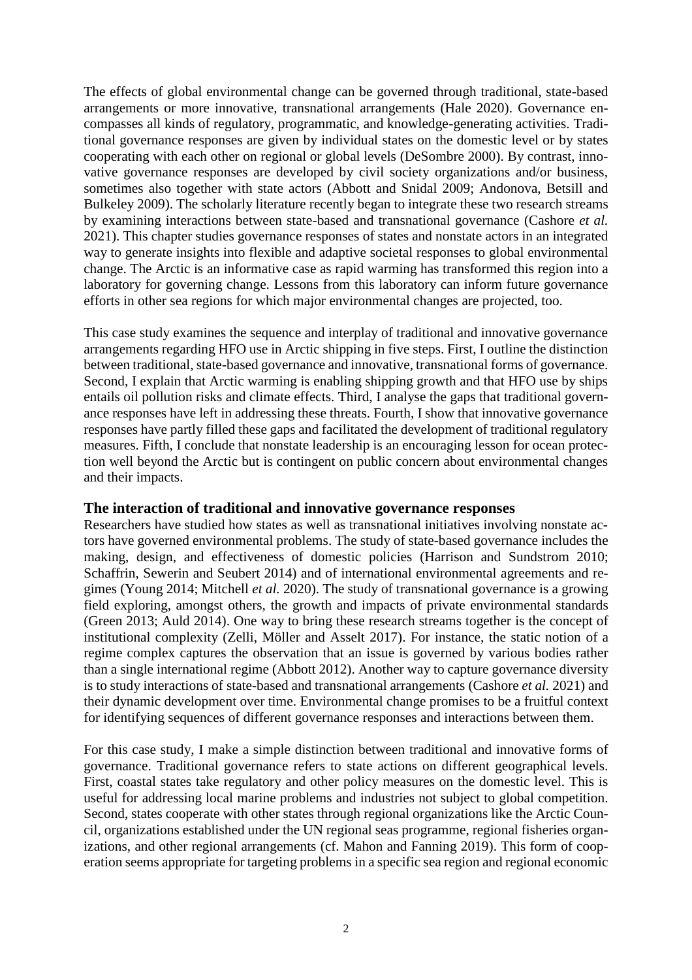The effects of global environmental change can be governed through traditional, state-based arrangements or more innovative, transnational arrangements (Hale 2020). Governance encompasses all kinds of regulatory, programmatic, and knowledge-generating activities. Traditional governance responses are given by individual states on the domestic level or by states cooperating with each other on regional or global levels (DeSombre 2000). By contrast, innovative governance responses are developed by civil society organizations and/or business, sometimes also together with state actors (Abbott and Snidal 2009; Andonova, Betsill and Bulkeley 2009). The scholarly literature recently began to integrate these two research streams by examining interactions between state-based and transnational governance (Cashore *et al.* 2021). This chapter studies governance responses of states and nonstate actors in an integrated way to generate insights into flexible and adaptive societal responses to global environmental change. The Arctic is an informative case as rapid warming has transformed this region into a laboratory for governing change. Lessons from this laboratory can inform future governance efforts in other sea regions for which major environmental changes are projected, too.

This case study examines the sequence and interplay of traditional and innovative governance arrangements regarding HFO use in Arctic shipping in five steps. First, I outline the distinction between traditional, state-based governance and innovative, transnational forms of governance. Second, I explain that Arctic warming is enabling shipping growth and that HFO use by ships entails oil pollution risks and climate effects. Third, I analyse the gaps that traditional governance responses have left in addressing these threats. Fourth, I show that innovative governance responses have partly filled these gaps and facilitated the development of traditional regulatory measures. Fifth, I conclude that nonstate leadership is an encouraging lesson for ocean protection well beyond the Arctic but is contingent on public concern about environmental changes and their impacts.

## **The interaction of traditional and innovative governance responses**

Researchers have studied how states as well as transnational initiatives involving nonstate actors have governed environmental problems. The study of state-based governance includes the making, design, and effectiveness of domestic policies (Harrison and Sundstrom 2010; Schaffrin, Sewerin and Seubert 2014) and of international environmental agreements and regimes (Young 2014; Mitchell *et al.* 2020). The study of transnational governance is a growing field exploring, amongst others, the growth and impacts of private environmental standards (Green 2013; Auld 2014). One way to bring these research streams together is the concept of institutional complexity (Zelli, Möller and Asselt 2017). For instance, the static notion of a regime complex captures the observation that an issue is governed by various bodies rather than a single international regime (Abbott 2012). Another way to capture governance diversity is to study interactions of state-based and transnational arrangements (Cashore *et al.* 2021) and their dynamic development over time. Environmental change promises to be a fruitful context for identifying sequences of different governance responses and interactions between them.

For this case study, I make a simple distinction between traditional and innovative forms of governance. Traditional governance refers to state actions on different geographical levels. First, coastal states take regulatory and other policy measures on the domestic level. This is useful for addressing local marine problems and industries not subject to global competition. Second, states cooperate with other states through regional organizations like the Arctic Council, organizations established under the UN regional seas programme, regional fisheries organizations, and other regional arrangements (cf. Mahon and Fanning 2019). This form of cooperation seems appropriate for targeting problems in a specific sea region and regional economic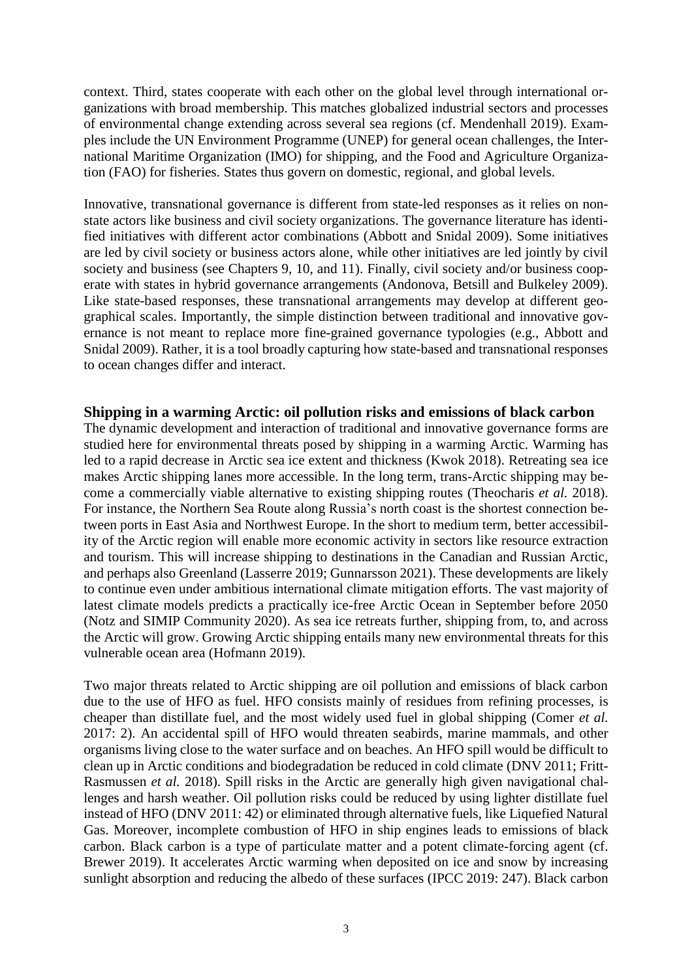context. Third, states cooperate with each other on the global level through international organizations with broad membership. This matches globalized industrial sectors and processes of environmental change extending across several sea regions (cf. Mendenhall 2019). Examples include the UN Environment Programme (UNEP) for general ocean challenges, the International Maritime Organization (IMO) for shipping, and the Food and Agriculture Organization (FAO) for fisheries. States thus govern on domestic, regional, and global levels.

Innovative, transnational governance is different from state-led responses as it relies on nonstate actors like business and civil society organizations. The governance literature has identified initiatives with different actor combinations (Abbott and Snidal 2009). Some initiatives are led by civil society or business actors alone, while other initiatives are led jointly by civil society and business (see Chapters 9, 10, and 11). Finally, civil society and/or business cooperate with states in hybrid governance arrangements (Andonova, Betsill and Bulkeley 2009). Like state-based responses, these transnational arrangements may develop at different geographical scales. Importantly, the simple distinction between traditional and innovative governance is not meant to replace more fine-grained governance typologies (e.g., Abbott and Snidal 2009). Rather, it is a tool broadly capturing how state-based and transnational responses to ocean changes differ and interact.

## **Shipping in a warming Arctic: oil pollution risks and emissions of black carbon**

The dynamic development and interaction of traditional and innovative governance forms are studied here for environmental threats posed by shipping in a warming Arctic. Warming has led to a rapid decrease in Arctic sea ice extent and thickness (Kwok 2018). Retreating sea ice makes Arctic shipping lanes more accessible. In the long term, trans-Arctic shipping may become a commercially viable alternative to existing shipping routes (Theocharis *et al.* 2018). For instance, the Northern Sea Route along Russia's north coast is the shortest connection between ports in East Asia and Northwest Europe. In the short to medium term, better accessibility of the Arctic region will enable more economic activity in sectors like resource extraction and tourism. This will increase shipping to destinations in the Canadian and Russian Arctic, and perhaps also Greenland (Lasserre 2019; Gunnarsson 2021). These developments are likely to continue even under ambitious international climate mitigation efforts. The vast majority of latest climate models predicts a practically ice-free Arctic Ocean in September before 2050 (Notz and SIMIP Community 2020). As sea ice retreats further, shipping from, to, and across the Arctic will grow. Growing Arctic shipping entails many new environmental threats for this vulnerable ocean area (Hofmann 2019).

Two major threats related to Arctic shipping are oil pollution and emissions of black carbon due to the use of HFO as fuel. HFO consists mainly of residues from refining processes, is cheaper than distillate fuel, and the most widely used fuel in global shipping (Comer *et al.* 2017: 2). An accidental spill of HFO would threaten seabirds, marine mammals, and other organisms living close to the water surface and on beaches. An HFO spill would be difficult to clean up in Arctic conditions and biodegradation be reduced in cold climate (DNV 2011; Fritt-Rasmussen *et al.* 2018). Spill risks in the Arctic are generally high given navigational challenges and harsh weather. Oil pollution risks could be reduced by using lighter distillate fuel instead of HFO (DNV 2011: 42) or eliminated through alternative fuels, like Liquefied Natural Gas. Moreover, incomplete combustion of HFO in ship engines leads to emissions of black carbon. Black carbon is a type of particulate matter and a potent climate-forcing agent (cf. Brewer 2019). It accelerates Arctic warming when deposited on ice and snow by increasing sunlight absorption and reducing the albedo of these surfaces (IPCC 2019: 247). Black carbon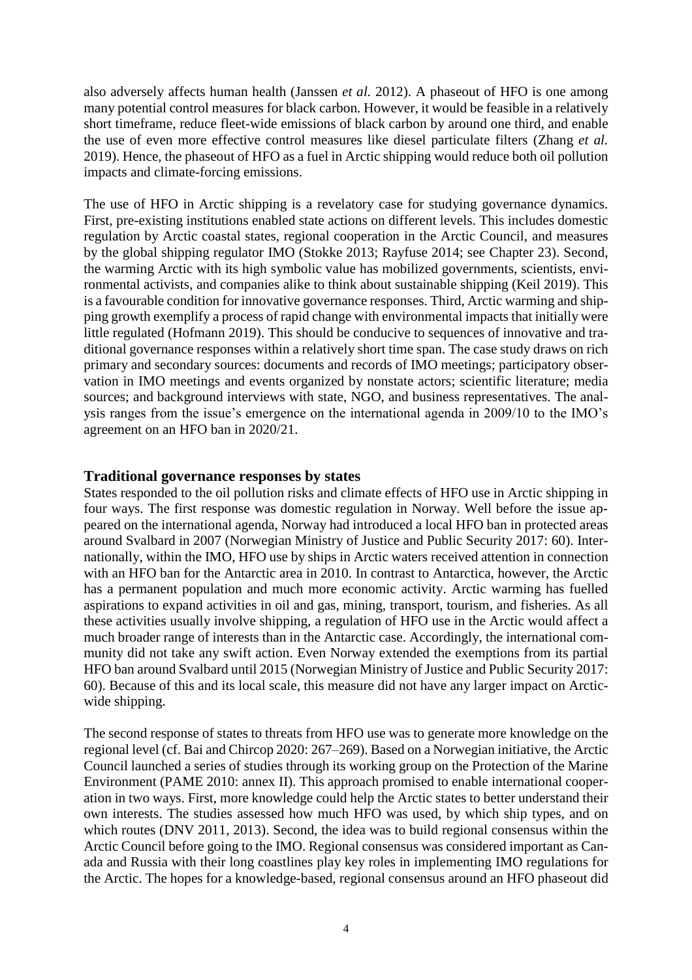also adversely affects human health (Janssen *et al.* 2012). A phaseout of HFO is one among many potential control measures for black carbon. However, it would be feasible in a relatively short timeframe, reduce fleet-wide emissions of black carbon by around one third, and enable the use of even more effective control measures like diesel particulate filters (Zhang *et al.* 2019). Hence, the phaseout of HFO as a fuel in Arctic shipping would reduce both oil pollution impacts and climate-forcing emissions.

The use of HFO in Arctic shipping is a revelatory case for studying governance dynamics. First, pre-existing institutions enabled state actions on different levels. This includes domestic regulation by Arctic coastal states, regional cooperation in the Arctic Council, and measures by the global shipping regulator IMO (Stokke 2013; Rayfuse 2014; see Chapter 23). Second, the warming Arctic with its high symbolic value has mobilized governments, scientists, environmental activists, and companies alike to think about sustainable shipping (Keil 2019). This is a favourable condition for innovative governance responses. Third, Arctic warming and shipping growth exemplify a process of rapid change with environmental impacts that initially were little regulated (Hofmann 2019). This should be conducive to sequences of innovative and traditional governance responses within a relatively short time span. The case study draws on rich primary and secondary sources: documents and records of IMO meetings; participatory observation in IMO meetings and events organized by nonstate actors; scientific literature; media sources; and background interviews with state, NGO, and business representatives. The analysis ranges from the issue's emergence on the international agenda in 2009/10 to the IMO's agreement on an HFO ban in 2020/21.

# **Traditional governance responses by states**

States responded to the oil pollution risks and climate effects of HFO use in Arctic shipping in four ways. The first response was domestic regulation in Norway. Well before the issue appeared on the international agenda, Norway had introduced a local HFO ban in protected areas around Svalbard in 2007 (Norwegian Ministry of Justice and Public Security 2017: 60). Internationally, within the IMO, HFO use by ships in Arctic waters received attention in connection with an HFO ban for the Antarctic area in 2010. In contrast to Antarctica, however, the Arctic has a permanent population and much more economic activity. Arctic warming has fuelled aspirations to expand activities in oil and gas, mining, transport, tourism, and fisheries. As all these activities usually involve shipping, a regulation of HFO use in the Arctic would affect a much broader range of interests than in the Antarctic case. Accordingly, the international community did not take any swift action. Even Norway extended the exemptions from its partial HFO ban around Svalbard until 2015 (Norwegian Ministry of Justice and Public Security 2017: 60). Because of this and its local scale, this measure did not have any larger impact on Arcticwide shipping.

The second response of states to threats from HFO use was to generate more knowledge on the regional level (cf. Bai and Chircop 2020: 267–269). Based on a Norwegian initiative, the Arctic Council launched a series of studies through its working group on the Protection of the Marine Environment (PAME 2010: annex II). This approach promised to enable international cooperation in two ways. First, more knowledge could help the Arctic states to better understand their own interests. The studies assessed how much HFO was used, by which ship types, and on which routes (DNV 2011, 2013). Second, the idea was to build regional consensus within the Arctic Council before going to the IMO. Regional consensus was considered important as Canada and Russia with their long coastlines play key roles in implementing IMO regulations for the Arctic. The hopes for a knowledge-based, regional consensus around an HFO phaseout did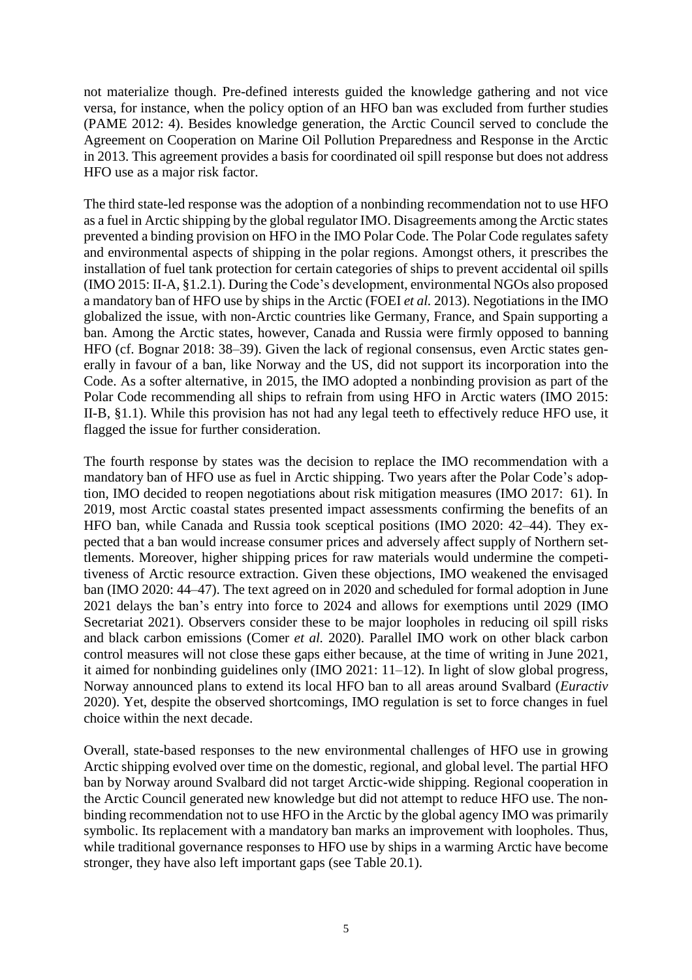not materialize though. Pre-defined interests guided the knowledge gathering and not vice versa, for instance, when the policy option of an HFO ban was excluded from further studies (PAME 2012: 4). Besides knowledge generation, the Arctic Council served to conclude the Agreement on Cooperation on Marine Oil Pollution Preparedness and Response in the Arctic in 2013. This agreement provides a basis for coordinated oil spill response but does not address HFO use as a major risk factor.

The third state-led response was the adoption of a nonbinding recommendation not to use HFO as a fuel in Arctic shipping by the global regulator IMO. Disagreements among the Arctic states prevented a binding provision on HFO in the IMO Polar Code. The Polar Code regulates safety and environmental aspects of shipping in the polar regions. Amongst others, it prescribes the installation of fuel tank protection for certain categories of ships to prevent accidental oil spills (IMO 2015: II-A, §1.2.1). During the Code's development, environmental NGOs also proposed a mandatory ban of HFO use by ships in the Arctic (FOEI *et al.* 2013). Negotiations in the IMO globalized the issue, with non-Arctic countries like Germany, France, and Spain supporting a ban. Among the Arctic states, however, Canada and Russia were firmly opposed to banning HFO (cf. Bognar 2018: 38–39). Given the lack of regional consensus, even Arctic states generally in favour of a ban, like Norway and the US, did not support its incorporation into the Code. As a softer alternative, in 2015, the IMO adopted a nonbinding provision as part of the Polar Code recommending all ships to refrain from using HFO in Arctic waters (IMO 2015: II-B, §1.1). While this provision has not had any legal teeth to effectively reduce HFO use, it flagged the issue for further consideration.

The fourth response by states was the decision to replace the IMO recommendation with a mandatory ban of HFO use as fuel in Arctic shipping. Two years after the Polar Code's adoption, IMO decided to reopen negotiations about risk mitigation measures (IMO 2017: 61). In 2019, most Arctic coastal states presented impact assessments confirming the benefits of an HFO ban, while Canada and Russia took sceptical positions (IMO 2020: 42–44). They expected that a ban would increase consumer prices and adversely affect supply of Northern settlements. Moreover, higher shipping prices for raw materials would undermine the competitiveness of Arctic resource extraction. Given these objections, IMO weakened the envisaged ban (IMO 2020: 44–47). The text agreed on in 2020 and scheduled for formal adoption in June 2021 delays the ban's entry into force to 2024 and allows for exemptions until 2029 (IMO Secretariat 2021). Observers consider these to be major loopholes in reducing oil spill risks and black carbon emissions (Comer *et al.* 2020). Parallel IMO work on other black carbon control measures will not close these gaps either because, at the time of writing in June 2021, it aimed for nonbinding guidelines only (IMO 2021: 11–12). In light of slow global progress, Norway announced plans to extend its local HFO ban to all areas around Svalbard (*Euractiv* 2020). Yet, despite the observed shortcomings, IMO regulation is set to force changes in fuel choice within the next decade.

Overall, state-based responses to the new environmental challenges of HFO use in growing Arctic shipping evolved over time on the domestic, regional, and global level. The partial HFO ban by Norway around Svalbard did not target Arctic-wide shipping. Regional cooperation in the Arctic Council generated new knowledge but did not attempt to reduce HFO use. The nonbinding recommendation not to use HFO in the Arctic by the global agency IMO was primarily symbolic. Its replacement with a mandatory ban marks an improvement with loopholes. Thus, while traditional governance responses to HFO use by ships in a warming Arctic have become stronger, they have also left important gaps (see Table 20.1).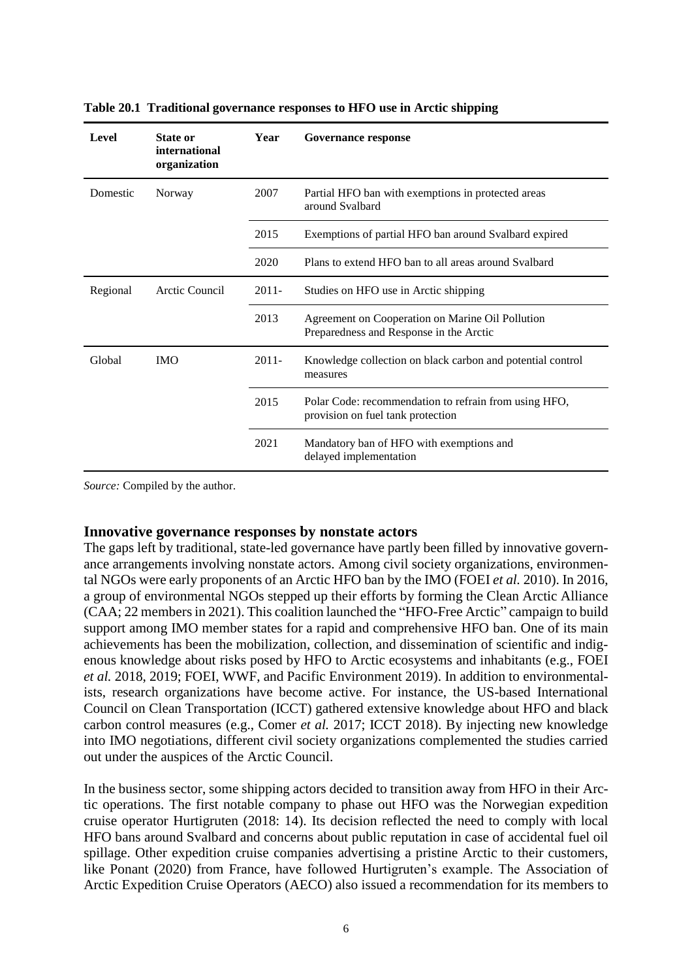| Level    | <b>State or</b><br>international<br>organization | Year     | <b>Governance response</b>                                                                  |  |
|----------|--------------------------------------------------|----------|---------------------------------------------------------------------------------------------|--|
| Domestic | Norway                                           | 2007     | Partial HFO ban with exemptions in protected areas<br>around Svalbard                       |  |
|          |                                                  | 2015     | Exemptions of partial HFO ban around Svalbard expired                                       |  |
|          |                                                  | 2020     | Plans to extend HFO ban to all areas around Svalbard                                        |  |
| Regional | Arctic Council                                   | $2011 -$ | Studies on HFO use in Arctic shipping                                                       |  |
|          |                                                  | 2013     | Agreement on Cooperation on Marine Oil Pollution<br>Preparedness and Response in the Arctic |  |
| Global   | <b>IMO</b>                                       | $2011 -$ | Knowledge collection on black carbon and potential control<br>measures                      |  |
|          |                                                  | 2015     | Polar Code: recommendation to refrain from using HFO,<br>provision on fuel tank protection  |  |
|          |                                                  | 2021     | Mandatory ban of HFO with exemptions and<br>delayed implementation                          |  |

**Table 20.1 Traditional governance responses to HFO use in Arctic shipping**

*Source:* Compiled by the author.

#### **Innovative governance responses by nonstate actors**

The gaps left by traditional, state-led governance have partly been filled by innovative governance arrangements involving nonstate actors. Among civil society organizations, environmental NGOs were early proponents of an Arctic HFO ban by the IMO (FOEI *et al.* 2010). In 2016, a group of environmental NGOs stepped up their efforts by forming the Clean Arctic Alliance (CAA; 22 membersin 2021). This coalition launched the "HFO-Free Arctic" campaign to build support among IMO member states for a rapid and comprehensive HFO ban. One of its main achievements has been the mobilization, collection, and dissemination of scientific and indigenous knowledge about risks posed by HFO to Arctic ecosystems and inhabitants (e.g., FOEI *et al.* 2018, 2019; FOEI, WWF, and Pacific Environment 2019). In addition to environmentalists, research organizations have become active. For instance, the US-based International Council on Clean Transportation (ICCT) gathered extensive knowledge about HFO and black carbon control measures (e.g., Comer *et al.* 2017; ICCT 2018). By injecting new knowledge into IMO negotiations, different civil society organizations complemented the studies carried out under the auspices of the Arctic Council.

In the business sector, some shipping actors decided to transition away from HFO in their Arctic operations. The first notable company to phase out HFO was the Norwegian expedition cruise operator Hurtigruten (2018: 14). Its decision reflected the need to comply with local HFO bans around Svalbard and concerns about public reputation in case of accidental fuel oil spillage. Other expedition cruise companies advertising a pristine Arctic to their customers, like Ponant (2020) from France, have followed Hurtigruten's example. The Association of Arctic Expedition Cruise Operators (AECO) also issued a recommendation for its members to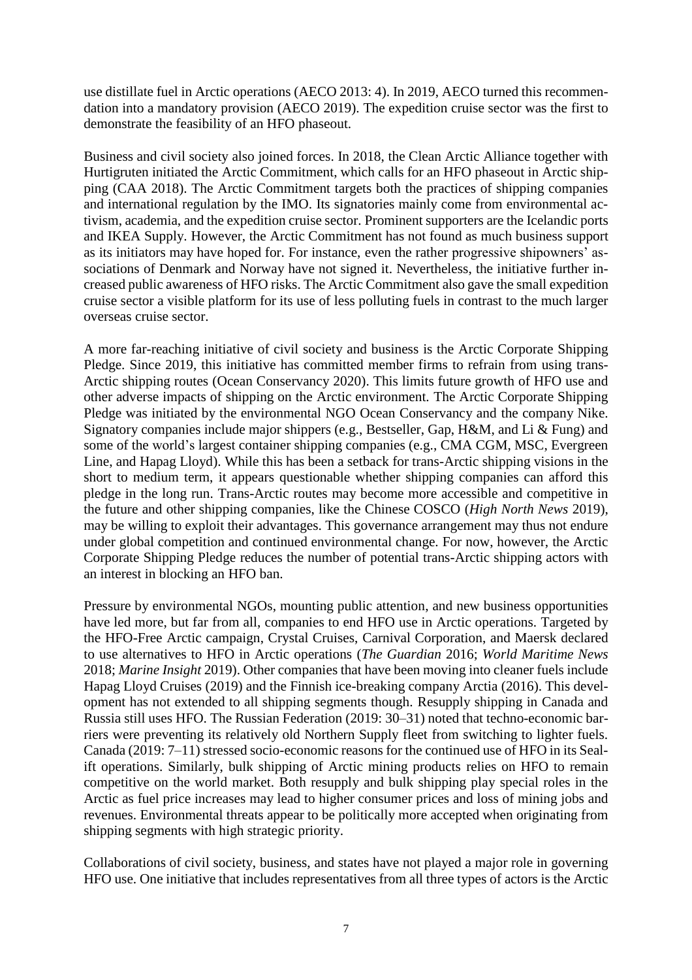use distillate fuel in Arctic operations (AECO 2013: 4). In 2019, AECO turned this recommendation into a mandatory provision (AECO 2019). The expedition cruise sector was the first to demonstrate the feasibility of an HFO phaseout.

Business and civil society also joined forces. In 2018, the Clean Arctic Alliance together with Hurtigruten initiated the Arctic Commitment, which calls for an HFO phaseout in Arctic shipping (CAA 2018). The Arctic Commitment targets both the practices of shipping companies and international regulation by the IMO. Its signatories mainly come from environmental activism, academia, and the expedition cruise sector. Prominent supporters are the Icelandic ports and IKEA Supply. However, the Arctic Commitment has not found as much business support as its initiators may have hoped for. For instance, even the rather progressive shipowners' associations of Denmark and Norway have not signed it. Nevertheless, the initiative further increased public awareness of HFO risks. The Arctic Commitment also gave the small expedition cruise sector a visible platform for its use of less polluting fuels in contrast to the much larger overseas cruise sector.

A more far-reaching initiative of civil society and business is the Arctic Corporate Shipping Pledge. Since 2019, this initiative has committed member firms to refrain from using trans-Arctic shipping routes (Ocean Conservancy 2020). This limits future growth of HFO use and other adverse impacts of shipping on the Arctic environment. The Arctic Corporate Shipping Pledge was initiated by the environmental NGO Ocean Conservancy and the company Nike. Signatory companies include major shippers (e.g., Bestseller, Gap, H&M, and Li & Fung) and some of the world's largest container shipping companies (e.g., CMA CGM, MSC, Evergreen Line, and Hapag Lloyd). While this has been a setback for trans-Arctic shipping visions in the short to medium term, it appears questionable whether shipping companies can afford this pledge in the long run. Trans-Arctic routes may become more accessible and competitive in the future and other shipping companies, like the Chinese COSCO (*High North News* 2019), may be willing to exploit their advantages. This governance arrangement may thus not endure under global competition and continued environmental change. For now, however, the Arctic Corporate Shipping Pledge reduces the number of potential trans-Arctic shipping actors with an interest in blocking an HFO ban.

Pressure by environmental NGOs, mounting public attention, and new business opportunities have led more, but far from all, companies to end HFO use in Arctic operations. Targeted by the HFO-Free Arctic campaign, Crystal Cruises, Carnival Corporation, and Maersk declared to use alternatives to HFO in Arctic operations (*The Guardian* 2016; *World Maritime News* 2018; *Marine Insight* 2019). Other companies that have been moving into cleaner fuels include Hapag Lloyd Cruises (2019) and the Finnish ice-breaking company Arctia (2016). This development has not extended to all shipping segments though. Resupply shipping in Canada and Russia still uses HFO. The Russian Federation (2019: 30–31) noted that techno-economic barriers were preventing its relatively old Northern Supply fleet from switching to lighter fuels. Canada (2019: 7–11) stressed socio-economic reasons for the continued use of HFO in its Sealift operations. Similarly, bulk shipping of Arctic mining products relies on HFO to remain competitive on the world market. Both resupply and bulk shipping play special roles in the Arctic as fuel price increases may lead to higher consumer prices and loss of mining jobs and revenues. Environmental threats appear to be politically more accepted when originating from shipping segments with high strategic priority.

Collaborations of civil society, business, and states have not played a major role in governing HFO use. One initiative that includes representatives from all three types of actors is the Arctic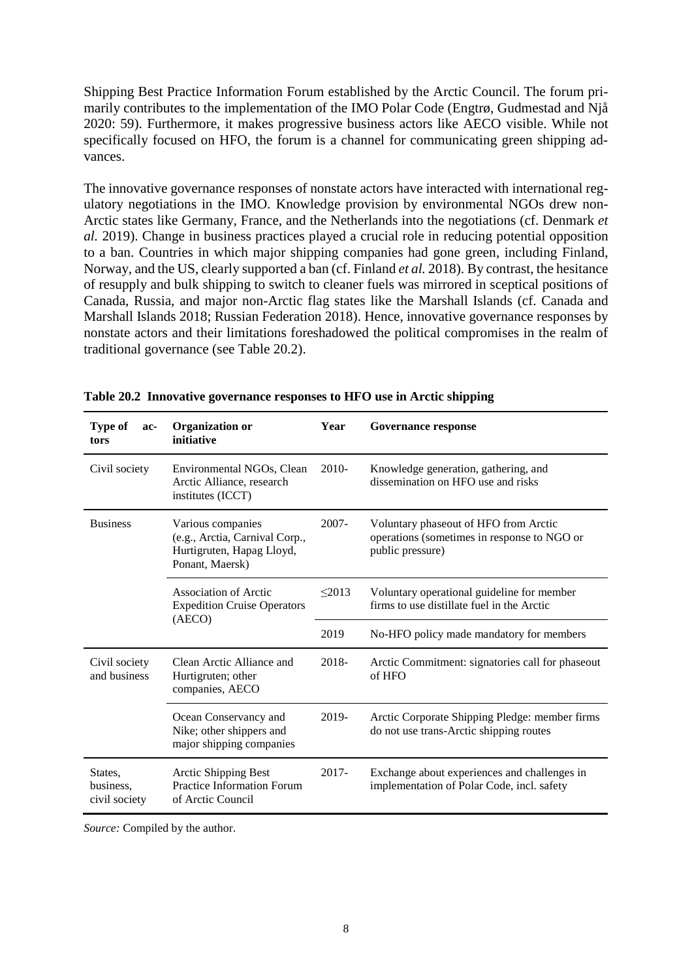Shipping Best Practice Information Forum established by the Arctic Council. The forum primarily contributes to the implementation of the IMO Polar Code (Engtrø, Gudmestad and Njå 2020: 59). Furthermore, it makes progressive business actors like AECO visible. While not specifically focused on HFO, the forum is a channel for communicating green shipping advances.

The innovative governance responses of nonstate actors have interacted with international regulatory negotiations in the IMO. Knowledge provision by environmental NGOs drew non-Arctic states like Germany, France, and the Netherlands into the negotiations (cf. Denmark *et al.* 2019). Change in business practices played a crucial role in reducing potential opposition to a ban. Countries in which major shipping companies had gone green, including Finland, Norway, and the US, clearly supported a ban (cf. Finland *et al.* 2018). By contrast, the hesitance of resupply and bulk shipping to switch to cleaner fuels was mirrored in sceptical positions of Canada, Russia, and major non-Arctic flag states like the Marshall Islands (cf. Canada and Marshall Islands 2018; Russian Federation 2018). Hence, innovative governance responses by nonstate actors and their limitations foreshadowed the political compromises in the realm of traditional governance (see Table 20.2).

| Type of<br>ac-<br>tors                                                                                                  | <b>Organization or</b><br>initiative                                                                | Year     | <b>Governance response</b>                                                                               |  |
|-------------------------------------------------------------------------------------------------------------------------|-----------------------------------------------------------------------------------------------------|----------|----------------------------------------------------------------------------------------------------------|--|
| Civil society                                                                                                           | Environmental NGOs, Clean<br>Arctic Alliance, research<br>institutes (ICCT)                         | $2010-$  | Knowledge generation, gathering, and<br>dissemination on HFO use and risks                               |  |
| <b>Business</b>                                                                                                         | Various companies<br>(e.g., Arctia, Carnival Corp.,<br>Hurtigruten, Hapag Lloyd,<br>Ponant, Maersk) | $2007 -$ | Voluntary phaseout of HFO from Arctic<br>operations (sometimes in response to NGO or<br>public pressure) |  |
|                                                                                                                         | Association of Arctic<br><b>Expedition Cruise Operators</b><br>(AECO)                               | < 2013   | Voluntary operational guideline for member<br>firms to use distillate fuel in the Arctic                 |  |
|                                                                                                                         |                                                                                                     | 2019     | No-HFO policy made mandatory for members                                                                 |  |
| Civil society<br>and business                                                                                           | Clean Arctic Alliance and<br>Hurtigruten; other<br>companies, AECO                                  | 2018-    | Arctic Commitment: signatories call for phaseout<br>of HFO                                               |  |
|                                                                                                                         | Ocean Conservancy and<br>Nike; other shippers and<br>major shipping companies                       | 2019-    | Arctic Corporate Shipping Pledge: member firms<br>do not use trans-Arctic shipping routes                |  |
| Arctic Shipping Best<br>States,<br><b>Practice Information Forum</b><br>business,<br>of Arctic Council<br>civil society |                                                                                                     | $2017 -$ | Exchange about experiences and challenges in<br>implementation of Polar Code, incl. safety               |  |

| Table 20.2 Innovative governance responses to HFO use in Arctic shipping |  |  |
|--------------------------------------------------------------------------|--|--|
|                                                                          |  |  |

*Source:* Compiled by the author.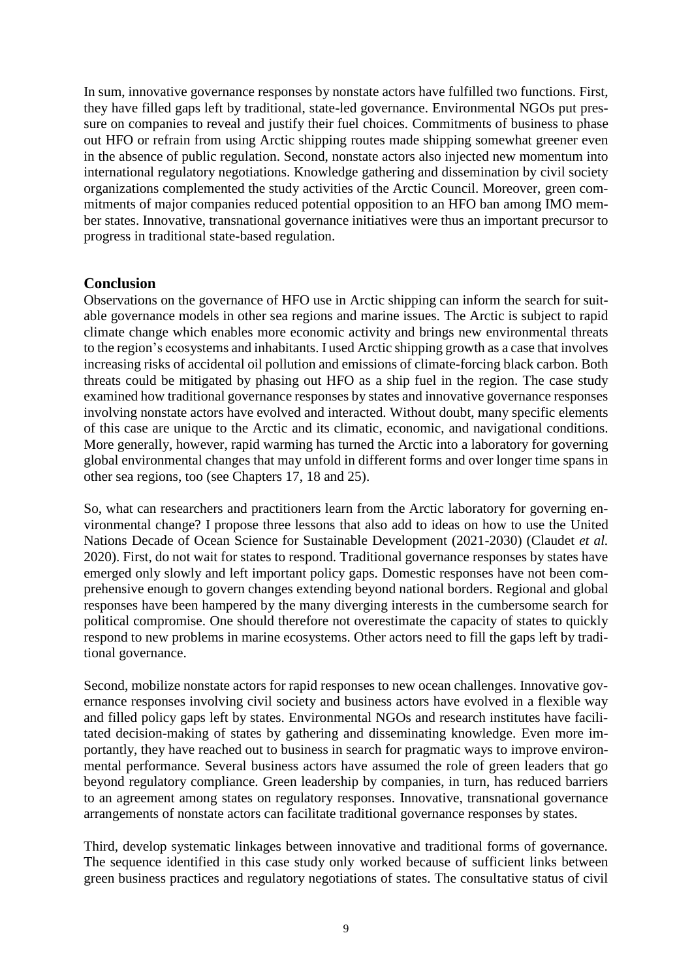In sum, innovative governance responses by nonstate actors have fulfilled two functions. First, they have filled gaps left by traditional, state-led governance. Environmental NGOs put pressure on companies to reveal and justify their fuel choices. Commitments of business to phase out HFO or refrain from using Arctic shipping routes made shipping somewhat greener even in the absence of public regulation. Second, nonstate actors also injected new momentum into international regulatory negotiations. Knowledge gathering and dissemination by civil society organizations complemented the study activities of the Arctic Council. Moreover, green commitments of major companies reduced potential opposition to an HFO ban among IMO member states. Innovative, transnational governance initiatives were thus an important precursor to progress in traditional state-based regulation.

# **Conclusion**

Observations on the governance of HFO use in Arctic shipping can inform the search for suitable governance models in other sea regions and marine issues. The Arctic is subject to rapid climate change which enables more economic activity and brings new environmental threats to the region's ecosystems and inhabitants. I used Arctic shipping growth as a case that involves increasing risks of accidental oil pollution and emissions of climate-forcing black carbon. Both threats could be mitigated by phasing out HFO as a ship fuel in the region. The case study examined how traditional governance responses by states and innovative governance responses involving nonstate actors have evolved and interacted. Without doubt, many specific elements of this case are unique to the Arctic and its climatic, economic, and navigational conditions. More generally, however, rapid warming has turned the Arctic into a laboratory for governing global environmental changes that may unfold in different forms and over longer time spans in other sea regions, too (see Chapters 17, 18 and 25).

So, what can researchers and practitioners learn from the Arctic laboratory for governing environmental change? I propose three lessons that also add to ideas on how to use the United Nations Decade of Ocean Science for Sustainable Development (2021-2030) (Claudet *et al.* 2020). First, do not wait for states to respond. Traditional governance responses by states have emerged only slowly and left important policy gaps. Domestic responses have not been comprehensive enough to govern changes extending beyond national borders. Regional and global responses have been hampered by the many diverging interests in the cumbersome search for political compromise. One should therefore not overestimate the capacity of states to quickly respond to new problems in marine ecosystems. Other actors need to fill the gaps left by traditional governance.

Second, mobilize nonstate actors for rapid responses to new ocean challenges. Innovative governance responses involving civil society and business actors have evolved in a flexible way and filled policy gaps left by states. Environmental NGOs and research institutes have facilitated decision-making of states by gathering and disseminating knowledge. Even more importantly, they have reached out to business in search for pragmatic ways to improve environmental performance. Several business actors have assumed the role of green leaders that go beyond regulatory compliance. Green leadership by companies, in turn, has reduced barriers to an agreement among states on regulatory responses. Innovative, transnational governance arrangements of nonstate actors can facilitate traditional governance responses by states.

Third, develop systematic linkages between innovative and traditional forms of governance. The sequence identified in this case study only worked because of sufficient links between green business practices and regulatory negotiations of states. The consultative status of civil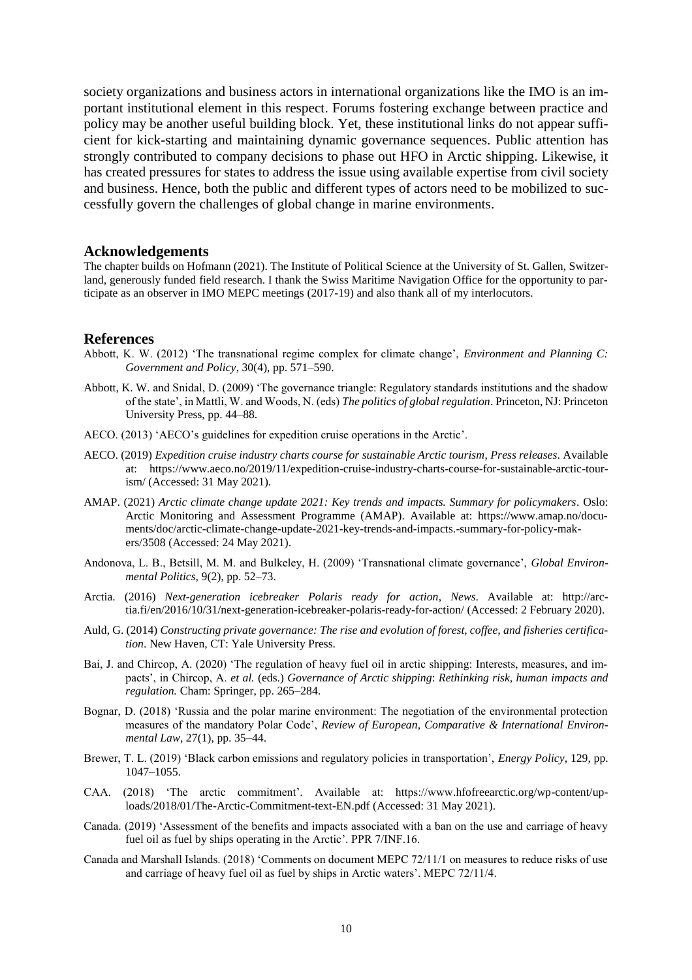society organizations and business actors in international organizations like the IMO is an important institutional element in this respect. Forums fostering exchange between practice and policy may be another useful building block. Yet, these institutional links do not appear sufficient for kick-starting and maintaining dynamic governance sequences. Public attention has strongly contributed to company decisions to phase out HFO in Arctic shipping. Likewise, it has created pressures for states to address the issue using available expertise from civil society and business. Hence, both the public and different types of actors need to be mobilized to successfully govern the challenges of global change in marine environments.

#### **Acknowledgements**

The chapter builds on Hofmann (2021). The Institute of Political Science at the University of St. Gallen, Switzerland, generously funded field research. I thank the Swiss Maritime Navigation Office for the opportunity to participate as an observer in IMO MEPC meetings (2017-19) and also thank all of my interlocutors.

#### **References**

- Abbott, K. W. (2012) 'The transnational regime complex for climate change', *Environment and Planning C: Government and Policy*, 30(4), pp. 571–590.
- Abbott, K. W. and Snidal, D. (2009) 'The governance triangle: Regulatory standards institutions and the shadow of the state', in Mattli, W. and Woods, N. (eds) *The politics of global regulation*. Princeton, NJ: Princeton University Press, pp. 44–88.
- AECO. (2013) 'AECO's guidelines for expedition cruise operations in the Arctic'.
- AECO. (2019) *Expedition cruise industry charts course for sustainable Arctic tourism*, *Press releases*. Available at: https://www.aeco.no/2019/11/expedition-cruise-industry-charts-course-for-sustainable-arctic-tourism/ (Accessed: 31 May 2021).
- AMAP. (2021) *Arctic climate change update 2021: Key trends and impacts. Summary for policymakers*. Oslo: Arctic Monitoring and Assessment Programme (AMAP). Available at: https://www.amap.no/documents/doc/arctic-climate-change-update-2021-key-trends-and-impacts.-summary-for-policy-makers/3508 (Accessed: 24 May 2021).
- Andonova, L. B., Betsill, M. M. and Bulkeley, H. (2009) 'Transnational climate governance', *Global Environmental Politics*, 9(2), pp. 52–73.
- Arctia. (2016) *Next-generation icebreaker Polaris ready for action*, *News*. Available at: http://arctia.fi/en/2016/10/31/next-generation-icebreaker-polaris-ready-for-action/ (Accessed: 2 February 2020).
- Auld, G. (2014) *Constructing private governance: The rise and evolution of forest, coffee, and fisheries certification*. New Haven, CT: Yale University Press.
- Bai, J. and Chircop, A. (2020) 'The regulation of heavy fuel oil in arctic shipping: Interests, measures, and impacts', in Chircop, A. *et al.* (eds.) *Governance of Arctic shipping*: *Rethinking risk, human impacts and regulation.* Cham: Springer, pp. 265–284.
- Bognar, D. (2018) 'Russia and the polar marine environment: The negotiation of the environmental protection measures of the mandatory Polar Code', *Review of European, Comparative & International Environmental Law*, 27(1), pp. 35–44.
- Brewer, T. L. (2019) 'Black carbon emissions and regulatory policies in transportation', *Energy Policy*, 129, pp. 1047–1055.
- CAA. (2018) 'The arctic commitment'. Available at: https://www.hfofreearctic.org/wp-content/uploads/2018/01/The-Arctic-Commitment-text-EN.pdf (Accessed: 31 May 2021).
- Canada. (2019) 'Assessment of the benefits and impacts associated with a ban on the use and carriage of heavy fuel oil as fuel by ships operating in the Arctic'. PPR 7/INF.16.
- Canada and Marshall Islands. (2018) 'Comments on document MEPC 72/11/1 on measures to reduce risks of use and carriage of heavy fuel oil as fuel by ships in Arctic waters'. MEPC 72/11/4.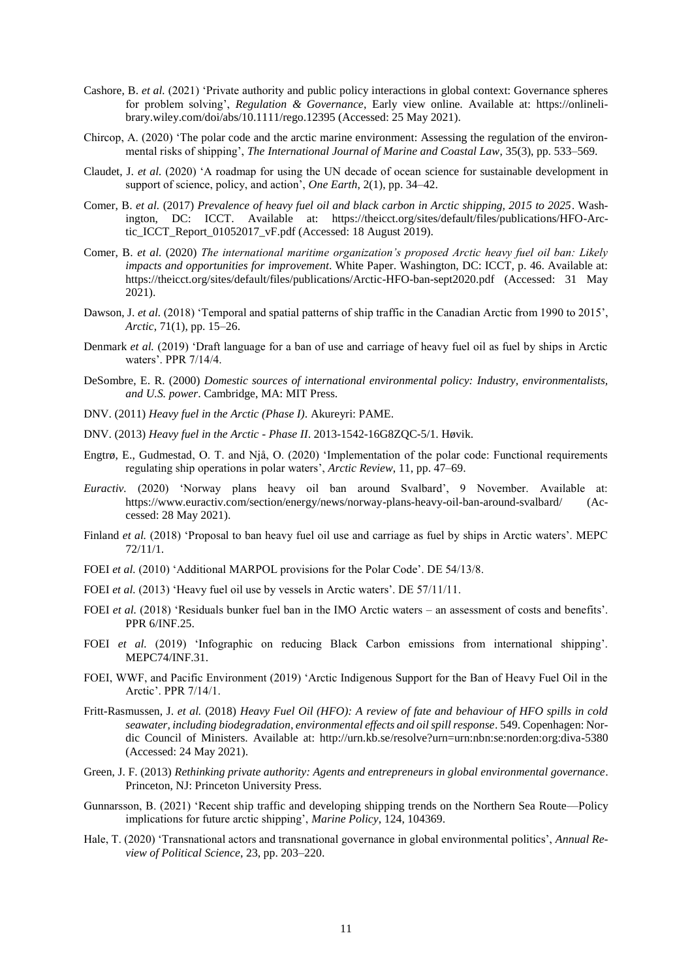- Cashore, B. *et al.* (2021) 'Private authority and public policy interactions in global context: Governance spheres for problem solving', *Regulation & Governance*, Early view online. Available at: https://onlinelibrary.wiley.com/doi/abs/10.1111/rego.12395 (Accessed: 25 May 2021).
- Chircop, A. (2020) 'The polar code and the arctic marine environment: Assessing the regulation of the environmental risks of shipping', *The International Journal of Marine and Coastal Law*, 35(3), pp. 533–569.
- Claudet, J. *et al.* (2020) 'A roadmap for using the UN decade of ocean science for sustainable development in support of science, policy, and action', *One Earth*, 2(1), pp. 34–42.
- Comer, B. *et al.* (2017) *Prevalence of heavy fuel oil and black carbon in Arctic shipping, 2015 to 2025*. Washington, DC: ICCT. Available at: https://theicct.org/sites/default/files/publications/HFO-Arctic\_ICCT\_Report\_01052017\_vF.pdf (Accessed: 18 August 2019).
- Comer, B. *et al.* (2020) *The international maritime organization's proposed Arctic heavy fuel oil ban: Likely impacts and opportunities for improvement*. White Paper. Washington, DC: ICCT, p. 46. Available at: https://theicct.org/sites/default/files/publications/Arctic-HFO-ban-sept2020.pdf (Accessed: 31 May 2021).
- Dawson, J. *et al.* (2018) 'Temporal and spatial patterns of ship traffic in the Canadian Arctic from 1990 to 2015', *Arctic*, 71(1), pp. 15–26.
- Denmark *et al.* (2019) 'Draft language for a ban of use and carriage of heavy fuel oil as fuel by ships in Arctic waters'. PPR 7/14/4.
- DeSombre, E. R. (2000) *Domestic sources of international environmental policy: Industry, environmentalists, and U.S. power*. Cambridge, MA: MIT Press.
- DNV. (2011) *Heavy fuel in the Arctic (Phase I)*. Akureyri: PAME.
- DNV. (2013) *Heavy fuel in the Arctic - Phase II*. 2013-1542-16G8ZQC-5/1. Høvik.
- Engtrø, E., Gudmestad, O. T. and Njå, O. (2020) 'Implementation of the polar code: Functional requirements regulating ship operations in polar waters', *Arctic Review*, 11, pp. 47–69.
- *Euractiv.* (2020) 'Norway plans heavy oil ban around Svalbard', 9 November. Available at: https://www.euractiv.com/section/energy/news/norway-plans-heavy-oil-ban-around-svalbard/ (Accessed: 28 May 2021).
- Finland *et al.* (2018) 'Proposal to ban heavy fuel oil use and carriage as fuel by ships in Arctic waters'. MEPC 72/11/1.
- FOEI *et al.* (2010) 'Additional MARPOL provisions for the Polar Code'. DE 54/13/8.
- FOEI *et al.* (2013) 'Heavy fuel oil use by vessels in Arctic waters'. DE 57/11/11.
- FOEI *et al.* (2018) 'Residuals bunker fuel ban in the IMO Arctic waters an assessment of costs and benefits'. PPR 6/INF.25.
- FOEI *et al.* (2019) 'Infographic on reducing Black Carbon emissions from international shipping'. MEPC74/INF.31.
- FOEI, WWF, and Pacific Environment (2019) 'Arctic Indigenous Support for the Ban of Heavy Fuel Oil in the Arctic'. PPR 7/14/1.
- Fritt-Rasmussen, J. *et al.* (2018) *Heavy Fuel Oil (HFO): A review of fate and behaviour of HFO spills in cold seawater, including biodegradation, environmental effects and oil spill response*. 549. Copenhagen: Nordic Council of Ministers. Available at: http://urn.kb.se/resolve?urn=urn:nbn:se:norden:org:diva-5380 (Accessed: 24 May 2021).
- Green, J. F. (2013) *Rethinking private authority: Agents and entrepreneurs in global environmental governance*. Princeton, NJ: Princeton University Press.
- Gunnarsson, B. (2021) 'Recent ship traffic and developing shipping trends on the Northern Sea Route—Policy implications for future arctic shipping', *Marine Policy*, 124, 104369.
- Hale, T. (2020) 'Transnational actors and transnational governance in global environmental politics', *Annual Review of Political Science*, 23, pp. 203–220.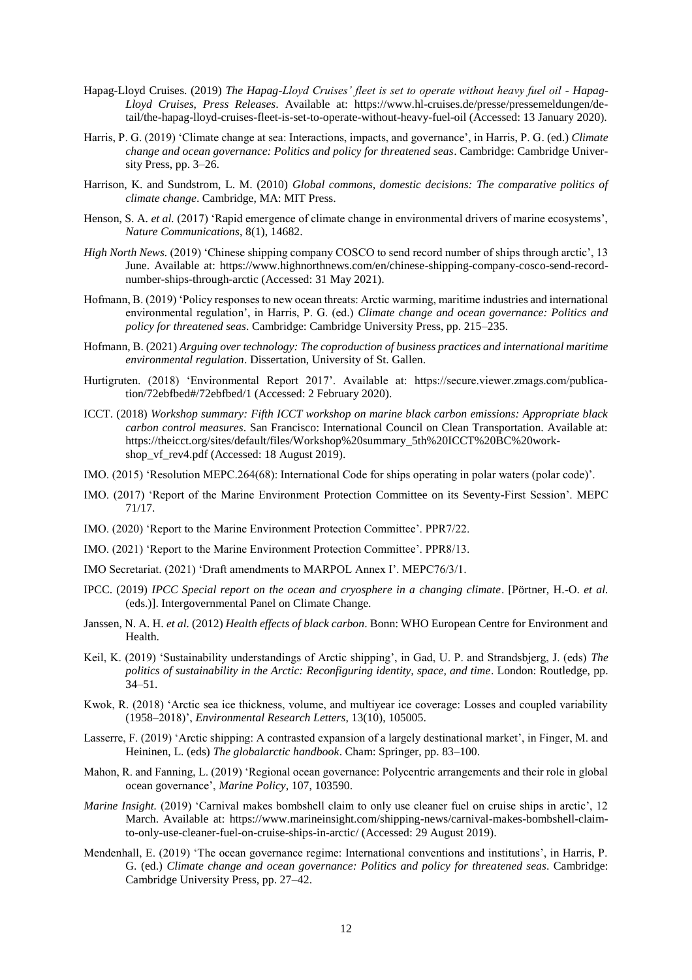- Hapag-Lloyd Cruises. (2019) *The Hapag-Lloyd Cruises' fleet is set to operate without heavy fuel oil - Hapag-Lloyd Cruises*, *Press Releases*. Available at: https://www.hl-cruises.de/presse/pressemeldungen/detail/the-hapag-lloyd-cruises-fleet-is-set-to-operate-without-heavy-fuel-oil (Accessed: 13 January 2020).
- Harris, P. G. (2019) 'Climate change at sea: Interactions, impacts, and governance', in Harris, P. G. (ed.) *Climate change and ocean governance: Politics and policy for threatened seas*. Cambridge: Cambridge University Press, pp. 3–26.
- Harrison, K. and Sundstrom, L. M. (2010) *Global commons, domestic decisions: The comparative politics of climate change*. Cambridge, MA: MIT Press.
- Henson, S. A. *et al.* (2017) 'Rapid emergence of climate change in environmental drivers of marine ecosystems', *Nature Communications*, 8(1), 14682.
- *High North News.* (2019) 'Chinese shipping company COSCO to send record number of ships through arctic', 13 June. Available at: https://www.highnorthnews.com/en/chinese-shipping-company-cosco-send-recordnumber-ships-through-arctic (Accessed: 31 May 2021).
- Hofmann, B. (2019) 'Policy responses to new ocean threats: Arctic warming, maritime industries and international environmental regulation', in Harris, P. G. (ed.) *Climate change and ocean governance: Politics and policy for threatened seas*. Cambridge: Cambridge University Press, pp. 215–235.
- Hofmann, B. (2021) *Arguing over technology: The coproduction of business practices and international maritime environmental regulation*. Dissertation, University of St. Gallen.
- Hurtigruten. (2018) 'Environmental Report 2017'. Available at: https://secure.viewer.zmags.com/publication/72ebfbed#/72ebfbed/1 (Accessed: 2 February 2020).
- ICCT. (2018) *Workshop summary: Fifth ICCT workshop on marine black carbon emissions: Appropriate black carbon control measures*. San Francisco: International Council on Clean Transportation. Available at: https://theicct.org/sites/default/files/Workshop%20summary\_5th%20ICCT%20BC%20workshop vf rev4.pdf (Accessed: 18 August 2019).
- IMO. (2015) 'Resolution MEPC.264(68): International Code for ships operating in polar waters (polar code)'.
- IMO. (2017) 'Report of the Marine Environment Protection Committee on its Seventy-First Session'. MEPC 71/17.
- IMO. (2020) 'Report to the Marine Environment Protection Committee'. PPR7/22.
- IMO. (2021) 'Report to the Marine Environment Protection Committee'. PPR8/13.
- IMO Secretariat. (2021) 'Draft amendments to MARPOL Annex I'. MEPC76/3/1.
- IPCC. (2019) *IPCC Special report on the ocean and cryosphere in a changing climate*. [Pörtner, H.-O. *et al.* (eds.)]. Intergovernmental Panel on Climate Change.
- Janssen, N. A. H. *et al.* (2012) *Health effects of black carbon*. Bonn: WHO European Centre for Environment and Health.
- Keil, K. (2019) 'Sustainability understandings of Arctic shipping', in Gad, U. P. and Strandsbjerg, J. (eds) *The politics of sustainability in the Arctic: Reconfiguring identity, space, and time*. London: Routledge, pp.  $34 - 51$ .
- Kwok, R. (2018) 'Arctic sea ice thickness, volume, and multiyear ice coverage: Losses and coupled variability (1958–2018)', *Environmental Research Letters*, 13(10), 105005.
- Lasserre, F. (2019) 'Arctic shipping: A contrasted expansion of a largely destinational market', in Finger, M. and Heininen, L. (eds) *The globalarctic handbook*. Cham: Springer, pp. 83–100.
- Mahon, R. and Fanning, L. (2019) 'Regional ocean governance: Polycentric arrangements and their role in global ocean governance', *Marine Policy*, 107, 103590.
- *Marine Insight.* (2019) 'Carnival makes bombshell claim to only use cleaner fuel on cruise ships in arctic', 12 March. Available at: https://www.marineinsight.com/shipping-news/carnival-makes-bombshell-claimto-only-use-cleaner-fuel-on-cruise-ships-in-arctic/ (Accessed: 29 August 2019).
- Mendenhall, E. (2019) 'The ocean governance regime: International conventions and institutions', in Harris, P. G. (ed.) *Climate change and ocean governance: Politics and policy for threatened seas*. Cambridge: Cambridge University Press, pp. 27–42.